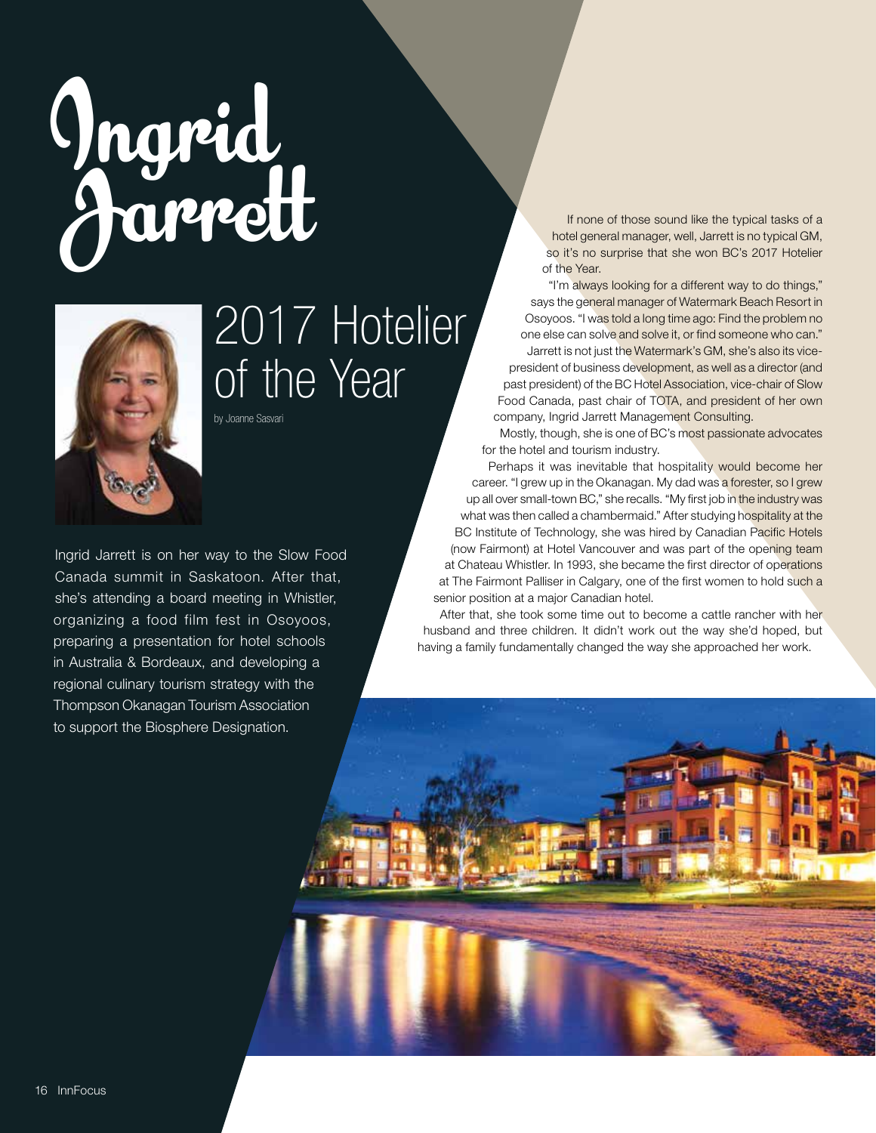## **Ingrid Jarrett**



## 2017 Hotelier of the Year

by Joanne Sasvari

Ingrid Jarrett is on her way to the Slow Food Canada summit in Saskatoon. After that, she's attending a board meeting in Whistler, organizing a food film fest in Osoyoos, preparing a presentation for hotel schools in Australia & Bordeaux, and developing a regional culinary tourism strategy with the Thompson Okanagan Tourism Association to support the Biosphere Designation.

If none of those sound like the typical tasks of a hotel general manager, well, Jarrett is no typical GM, so it's no surprise that she won BC's 2017 Hotelier of the Year.

"I'm always looking for a different way to do things," says the general manager of Watermark Beach Resort in Osoyoos. "I was told a long time ago: Find the problem no one else can solve and solve it, or find someone who can." Jarrett is not just the Watermark's GM, she's also its vicepresident of business development, as well as a director (and past president) of the BC Hotel Association, vice-chair of Slow Food Canada, past chair of TOTA, and president of her own company, Ingrid Jarrett Management Consulting.

Mostly, though, she is one of BC's most passionate advocates for the hotel and tourism industry.

Perhaps it was inevitable that hospitality would become her career. "I grew up in the Okanagan. My dad was a forester, so I grew up all over small-town BC," she recalls. "My first job in the industry was what was then called a chambermaid." After studying hospitality at the BC Institute of Technology, she was hired by Canadian Pacific Hotels (now Fairmont) at Hotel Vancouver and was part of the opening team at Chateau Whistler. In 1993, she became the first director of operations at The Fairmont Palliser in Calgary, one of the first women to hold such a senior position at a major Canadian hotel.

After that, she took some time out to become a cattle rancher with her husband and three children. It didn't work out the way she'd hoped, but having a family fundamentally changed the way she approached her work.